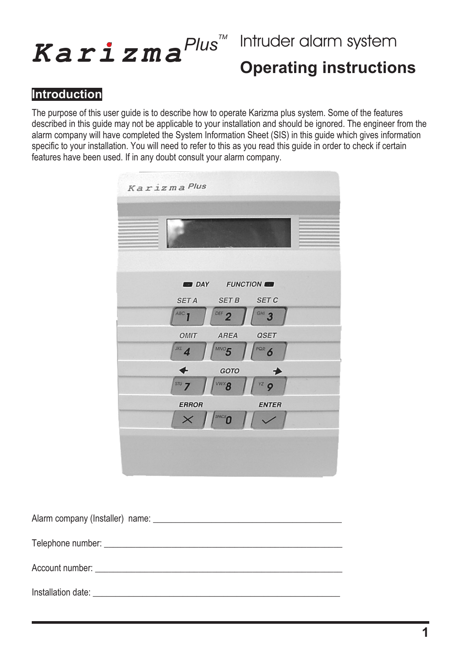# $K$ *arizma<sup>Plus™</sup>*

## **Intruder alarm system Operating instructions**

#### **Introduction**

The purpose of this user guide is to describe how to operate Karizma plus system. Some of the features described in this guide may not be applicable to your installation and should be ignored. The engineer from the alarm company will have completed the System Information Sheet (SIS) in this guide which gives information specific to your installation. You will need to refer to this as you read this guide in order to check if certain features have been used. If in any doubt consult your alarm company.

| Karizma Plus                                 |
|----------------------------------------------|
|                                              |
| DAY FUNCTION                                 |
| <b>SET C</b><br><b>SET B</b><br><b>SET A</b> |
| DEF $2$<br>ABC <sub>1</sub><br>$GHI}$ 3      |
| AREA<br><b>QSET</b><br>OMIT                  |
| $JKL$ 4<br>POR 6<br>$MNO$ 5                  |
| d<br>GOTO                                    |
| $s\pi v$ 7<br>$vz$ 9                         |
| <b>ERROR</b><br><b>ENTER</b>                 |
| $\times$<br>SPACE<br>0                       |
|                                              |
|                                              |

| Alarm company (Installer) name:                                                                                                                                                                                                |
|--------------------------------------------------------------------------------------------------------------------------------------------------------------------------------------------------------------------------------|
|                                                                                                                                                                                                                                |
|                                                                                                                                                                                                                                |
| Installation date: the contract of the contract of the contract of the contract of the contract of the contract of the contract of the contract of the contract of the contract of the contract of the contract of the contrac |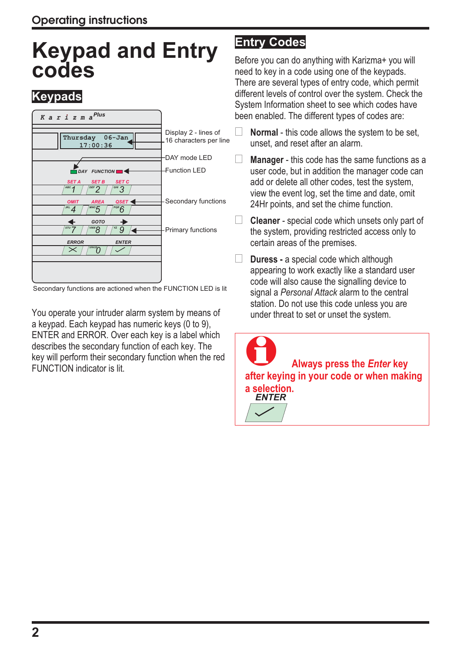## **Keypad and Entry codes**

#### **Keypads**



Secondary functions are actioned when the FUNCTION LED is lit

You operate your intruder alarm system by means of a keypad. Each keypad has numeric keys (0 to 9), ENTER and ERROR. Over each key is a label which describes the secondary function of each key. The key will perform their secondary function when the red FUNCTION indicator is lit.

#### **Entry Codes**

Before you can do anything with Karizma+ you will need to key in a code using one of the keypads. There are several types of entry code, which permit different levels of control over the system. Check the System Information sheet to see which codes have been enabled. The different types of codes are:

- **Normal** this code allows the system to be set, unset, and reset after an alarm.
- **Manager** this code has the same functions as a user code, but in addition the manager code can add or delete all other codes, test the system, view the event log, set the time and date, omit 24Hr points, and set the chime function.
- **Cleaner** special code which unsets only part of the system, providing restricted access only to certain areas of the premises.

 **Duress -** a special code which although appearing to work exactly like a standard user code will also cause the signalling device to signal a *Personal Attack* alarm to the central station. Do not use this code unless you are under threat to set or unset the system.

 **Always press the** *Enter* **key after keying in your code or when making a selection.** *ENTER*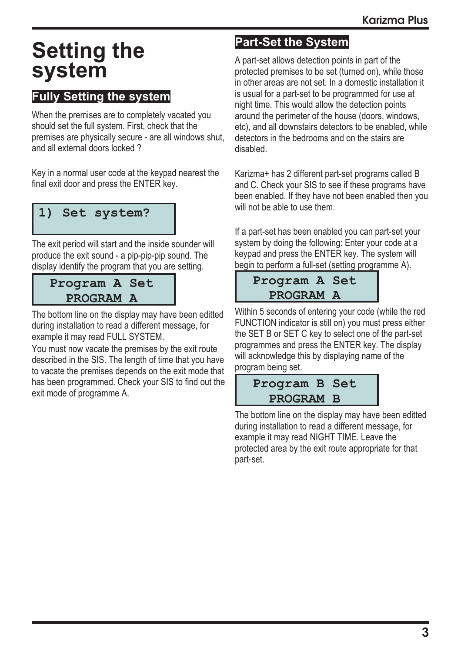## **Setting the system**

#### **Fully Setting the system**

When the premises are to completely vacated you should set the full system. First, check that the premises are physically secure - are all windows shut, and all external doors locked ?

Key in a normal user code at the keypad nearest the final exit door and press the ENTER key.

#### **1) Set system?**

The exit period will start and the inside sounder will produce the exit sound - a pip-pip-pip sound. The display identify the program that you are setting.

#### **Program A Set PROGRAM A**

The bottom line on the display may have been editted during installation to read a different message, for example it may read FULL SYSTEM.

You must now vacate the premises by the exit route described in the SIS. The length of time that you have to vacate the premises depends on the exit mode that has been programmed. Check your SIS to find out the exit mode of programme A.

#### **Part-Set the System**

A part-set allows detection points in part of the protected premises to be set (turned on), while those in other areas are not set. In a domestic installation it is usual for a part-set to be programmed for use at night time. This would allow the detection points around the perimeter of the house (doors, windows, etc), and all downstairs detectors to be enabled, while detectors in the bedrooms and on the stairs are disabled.

Karizma+ has 2 different part-set programs called B and C. Check your SIS to see if these programs have been enabled. If they have not been enabled then you will not be able to use them.

If a part-set has been enabled you can part-set your system by doing the following: Enter your code at a keypad and press the ENTER key. The system will begin to perform a full-set (setting programme A).

#### **Program A Set PROGRAM A**

Within 5 seconds of entering your code (while the red FUNCTION indicator is still on) you must press either the SET B or SET C key to select one of the part-set programmes and press the ENTER key. The display will acknowledge this by displaying name of the program being set.

#### **Program B Set PROGRAM B**

The bottom line on the display may have been editted during installation to read a different message, for example it may read NIGHT TIME. Leave the protected area by the exit route appropriate for that part-set.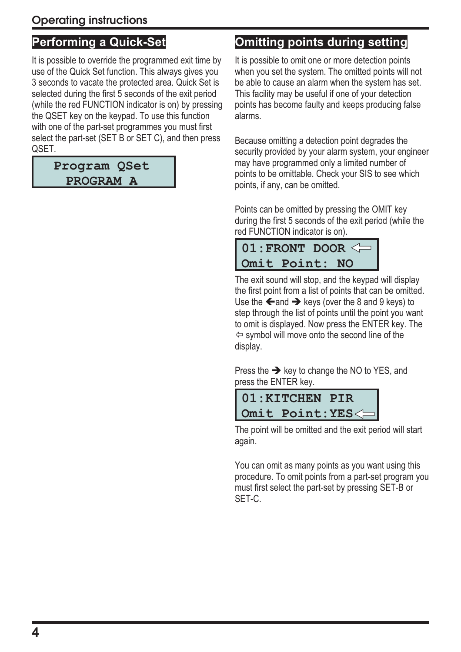#### **Performing a Quick-Set**

It is possible to override the programmed exit time by use of the Quick Set function. This always gives you 3 seconds to vacate the protected area. Quick Set is selected during the first 5 seconds of the exit period (while the red FUNCTION indicator is on) by pressing the QSET key on the keypad. To use this function with one of the part-set programmes you must first select the part-set (SET B or SET C), and then press QSET.

#### **Program QSet PROGRAM A**

#### **Omitting points during setting**

It is possible to omit one or more detection points when you set the system. The omitted points will not be able to cause an alarm when the system has set. This facility may be useful if one of your detection points has become faulty and keeps producing false alarms.

Because omitting a detection point degrades the security provided by your alarm system, your engineer may have programmed only a limited number of points to be omittable. Check your SIS to see which points, if any, can be omitted.

Points can be omitted by pressing the OMIT key during the first 5 seconds of the exit period (while the red FUNCTION indicator is on).

| $01$ : FRONT DOOR $\leq$ |  |
|--------------------------|--|
| Omit Point: NO           |  |

The exit sound will stop, and the keypad will display the first point from a list of points that can be omitted. Use the  $\leftarrow$  and  $\rightarrow$  keys (over the 8 and 9 keys) to step through the list of points until the point you want to omit is displayed. Now press the ENTER key. The  $\Leftrightarrow$  symbol will move onto the second line of the display.

Press the  $\rightarrow$  key to change the NO to YES, and press the ENTER key.



The point will be omitted and the exit period will start again.

You can omit as many points as you want using this procedure. To omit points from a part-set program you must first select the part-set by pressing SET-B or SET-C.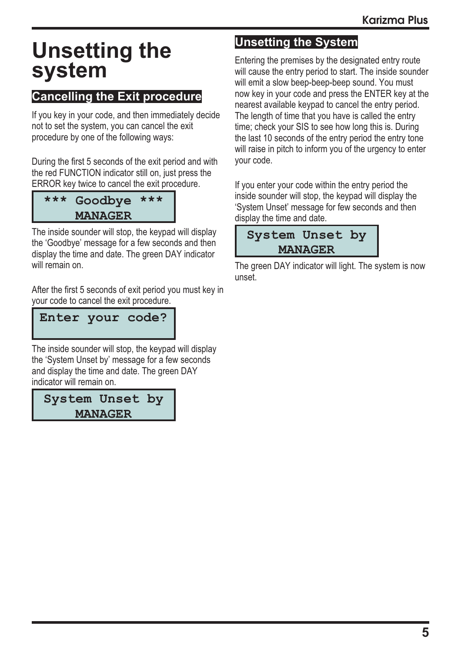## **Unsetting the system**

#### **Cancelling the Exit procedure**

If you key in your code, and then immediately decide not to set the system, you can cancel the exit procedure by one of the following ways:

During the first 5 seconds of the exit period and with the red FUNCTION indicator still on, just press the ERROR key twice to cancel the exit procedure.

| *** Goodbye *** |  |
|-----------------|--|
| <b>MANAGER</b>  |  |

The inside sounder will stop, the keypad will display the 'Goodbye' message for a few seconds and then display the time and date. The green DAY indicator will remain on.

After the first 5 seconds of exit period you must key in your code to cancel the exit procedure.

**Enter your code?**

The inside sounder will stop, the keypad will display the 'System Unset by' message for a few seconds and display the time and date. The green DAY indicator will remain on.

**System Unset by MANAGER**

#### **Unsetting the System**

Entering the premises by the designated entry route will cause the entry period to start. The inside sounder will emit a slow beep-beep-beep sound. You must now key in your code and press the ENTER key at the nearest available keypad to cancel the entry period. The length of time that you have is called the entry time; check your SIS to see how long this is. During the last 10 seconds of the entry period the entry tone will raise in pitch to inform you of the urgency to enter your code.

If you enter your code within the entry period the inside sounder will stop, the keypad will display the 'System Unset' message for few seconds and then display the time and date.

| System Unset by |  |  |  |  |
|-----------------|--|--|--|--|
| <b>MANAGER</b>  |  |  |  |  |

The green DAY indicator will light. The system is now unset.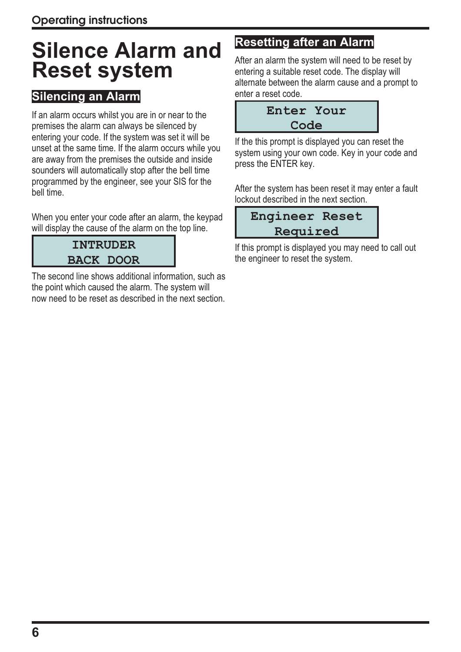## **Silence Alarm and Reset system**

#### **Silencing an Alarm**

If an alarm occurs whilst you are in or near to the premises the alarm can always be silenced by entering your code. If the system was set it will be unset at the same time. If the alarm occurs while you are away from the premises the outside and inside sounders will automatically stop after the bell time programmed by the engineer, see your SIS for the bell time.

When you enter your code after an alarm, the keypad will display the cause of the alarm on the top line.

#### **INTRUDER BACK DOOR**

The second line shows additional information, such as the point which caused the alarm. The system will now need to be reset as described in the next section.

#### **Resetting after an Alarm**

After an alarm the system will need to be reset by entering a suitable reset code. The display will alternate between the alarm cause and a prompt to enter a reset code.

| Enter Your |  |  |  |  |
|------------|--|--|--|--|
| Code       |  |  |  |  |

If the this prompt is displayed you can reset the system using your own code. Key in your code and press the ENTER key.

After the system has been reset it may enter a fault lockout described in the next section.

| <b>Engineer Reset</b> |  |  |  |
|-----------------------|--|--|--|
| Required              |  |  |  |

If this prompt is displayed you may need to call out the engineer to reset the system.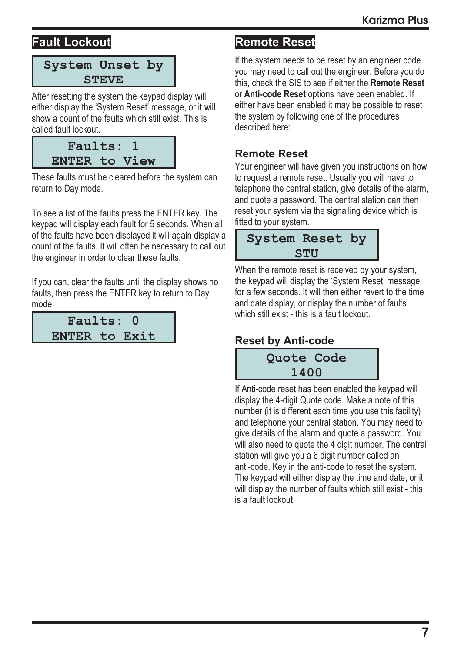#### **Fault Lockout**



After resetting the system the keypad display will either display the 'System Reset' message, or it will show a count of the faults which still exist. This is called fault lockout.

| Faults: 1            |  |  |
|----------------------|--|--|
| <b>ENTER to View</b> |  |  |

These faults must be cleared before the system can return to Day mode.

To see a list of the faults press the ENTER key. The keypad will display each fault for 5 seconds. When all of the faults have been displayed it will again display a count of the faults. It will often be necessary to call out the engineer in order to clear these faults.

If you can, clear the faults until the display shows no faults, then press the ENTER key to return to Day mode.



#### **Remote Reset**

If the system needs to be reset by an engineer code you may need to call out the engineer. Before you do this, check the SIS to see if either the **Remote Reset** or **Anti-code Reset** options have been enabled. If either have been enabled it may be possible to reset the system by following one of the procedures described here:

#### **Remote Reset**

Your engineer will have given you instructions on how to request a remote reset. Usually you will have to telephone the central station, give details of the alarm, and quote a password. The central station can then reset your system via the signalling device which is fitted to your system.

#### **System Reset by STU**

When the remote reset is received by your system, the keypad will display the 'System Reset' message for a few seconds. It will then either revert to the time and date display, or display the number of faults which still exist - this is a fault lockout.

#### **Reset by Anti-code**

**Quote Code 1400**

If Anti-code reset has been enabled the keypad will display the 4-digit Quote code. Make a note of this number (it is different each time you use this facility) and telephone your central station. You may need to give details of the alarm and quote a password. You will also need to quote the 4 digit number. The central station will give you a 6 digit number called an anti-code. Key in the anti-code to reset the system. The keypad will either display the time and date, or it will display the number of faults which still exist - this is a fault lockout.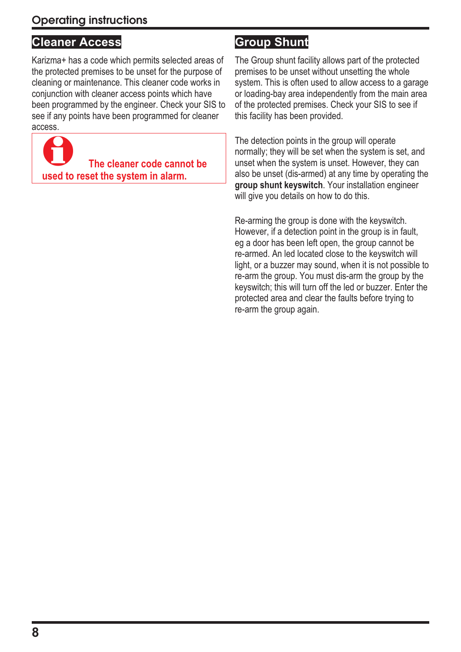#### **Cleaner Access**

Karizma+ has a code which permits selected areas of the protected premises to be unset for the purpose of cleaning or maintenance. This cleaner code works in conjunction with cleaner access points which have been programmed by the engineer. Check your SIS to see if any points have been programmed for cleaner access.



#### **Group Shunt**

The Group shunt facility allows part of the protected premises to be unset without unsetting the whole system. This is often used to allow access to a garage or loading-bay area independently from the main area of the protected premises. Check your SIS to see if this facility has been provided.

The detection points in the group will operate normally; they will be set when the system is set, and unset when the system is unset. However, they can also be unset (dis-armed) at any time by operating the **group shunt keyswitch**. Your installation engineer will give you details on how to do this.

Re-arming the group is done with the keyswitch. However, if a detection point in the group is in fault, eg a door has been left open, the group cannot be re-armed. An led located close to the keyswitch will light, or a buzzer may sound, when it is not possible to re-arm the group. You must dis-arm the group by the keyswitch; this will turn off the led or buzzer. Enter the protected area and clear the faults before trying to re-arm the group again.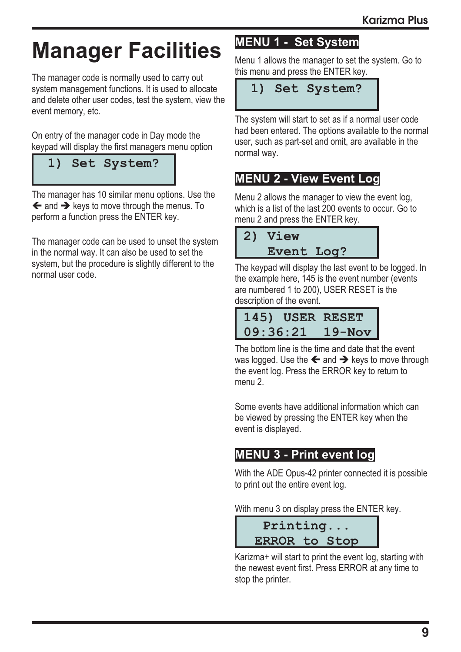## **Manager Facilities**

The manager code is normally used to carry out system management functions. It is used to allocate and delete other user codes, test the system, view the event memory, etc.

On entry of the manager code in Day mode the keypad will display the first managers menu option

## **1) Set System?**

The manager has 10 similar menu options. Use the  $\leftarrow$  and  $\rightarrow$  keys to move through the menus. To perform a function press the ENTER key.

The manager code can be used to unset the system in the normal way. It can also be used to set the system, but the procedure is slightly different to the normal user code.

#### **MENU 1 - Set System**

Menu 1 allows the manager to set the system. Go to this menu and press the ENTER key.

#### **1) Set System?**

The system will start to set as if a normal user code had been entered. The options available to the normal user, such as part-set and omit, are available in the normal way.

#### **MENU 2 - View Event Log**

Menu 2 allows the manager to view the event log, which is a list of the last 200 events to occur. Go to menu 2 and press the ENTER key.

|                   | 2) View |  |
|-------------------|---------|--|
| <b>Event Log?</b> |         |  |

The keypad will display the last event to be logged. In the example here, 145 is the event number (events are numbered 1 to 200), USER RESET is the description of the event.

|          | 145) USER RESET |
|----------|-----------------|
| 09:36:21 | $19 - Nov$      |

The bottom line is the time and date that the event was logged. Use the  $\leftarrow$  and  $\rightarrow$  keys to move through the event log. Press the ERROR key to return to menu 2.

Some events have additional information which can be viewed by pressing the ENTER key when the event is displayed.

#### **MENU 3 - Print event log**

With the ADE Opus-42 printer connected it is possible to print out the entire event log.

With menu 3 on display press the ENTER key.



Karizma+ will start to print the event log, starting with the newest event first. Press ERROR at any time to stop the printer.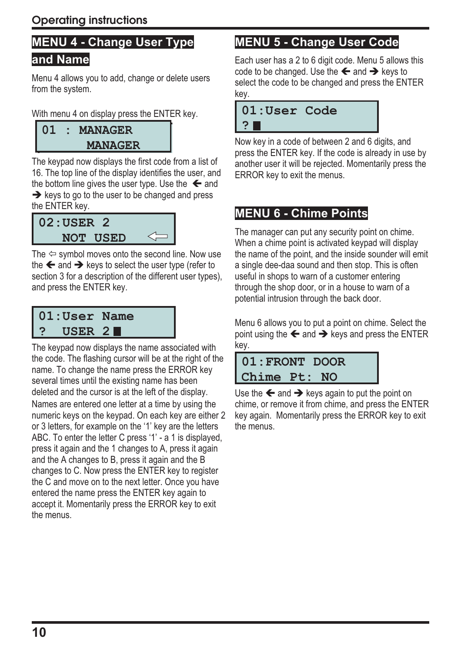### **MENU 4 - Change User Type**

#### **and Name**

Menu 4 allows you to add, change or delete users from the system.

With menu 4 on display press the ENTER key.

**01:MANAGER MANAGER 01 : MANAGER MANAGER**

The keypad now displays the first code from a list of 16. The top line of the display identifies the user, and the bottom line gives the user type. Use the  $\leftarrow$  and  $\rightarrow$  keys to go to the user to be changed and press the ENTER key.

$$
\begin{array}{c}\n 02: \text{USER} \quad 2 \\
\hline\n \text{NOT} \quad \text{USED} \quad \Longleftrightarrow\n \end{array}
$$

The  $\Leftrightarrow$  symbol moves onto the second line. Now use the  $\leftarrow$  and  $\rightarrow$  keys to select the user type (refer to section 3 for a description of the different user types), and press the ENTER key.

#### **01:User Name ? USER 2**

The keypad now displays the name associated with the code. The flashing cursor will be at the right of the name. To change the name press the ERROR key several times until the existing name has been deleted and the cursor is at the left of the display. Names are entered one letter at a time by using the numeric keys on the keypad. On each key are either 2 or 3 letters, for example on the '1' key are the letters ABC. To enter the letter C press '1' - a 1 is displayed, press it again and the 1 changes to A, press it again and the A changes to B, press it again and the B changes to C. Now press the ENTER key to register the C and move on to the next letter. Once you have entered the name press the ENTER key again to accept it. Momentarily press the ERROR key to exit the menus.

#### **MENU 5 - Change User Code**

Each user has a 2 to 6 digit code. Menu 5 allows this code to be changed. Use the  $\leftarrow$  and  $\rightarrow$  keys to select the code to be changed and press the ENTER key.

| 01:User Code |  |
|--------------|--|
| ?■           |  |
|              |  |

Now key in a code of between 2 and 6 digits, and press the ENTER key. If the code is already in use by another user it will be rejected. Momentarily press the ERROR key to exit the menus.

#### **MENU 6 - Chime Points**

The manager can put any security point on chime. When a chime point is activated keypad will display the name of the point, and the inside sounder will emit a single dee-daa sound and then stop. This is often useful in shops to warn of a customer entering through the shop door, or in a house to warn of a potential intrusion through the back door.

Menu 6 allows you to put a point on chime. Select the point using the  $\leftarrow$  and  $\rightarrow$  keys and press the ENTER key.

#### **01:FRONT DOOR Chime Pt: NO**

Use the  $\leftarrow$  and  $\rightarrow$  keys again to put the point on chime, or remove it from chime, and press the ENTER key again. Momentarily press the ERROR key to exit the menus.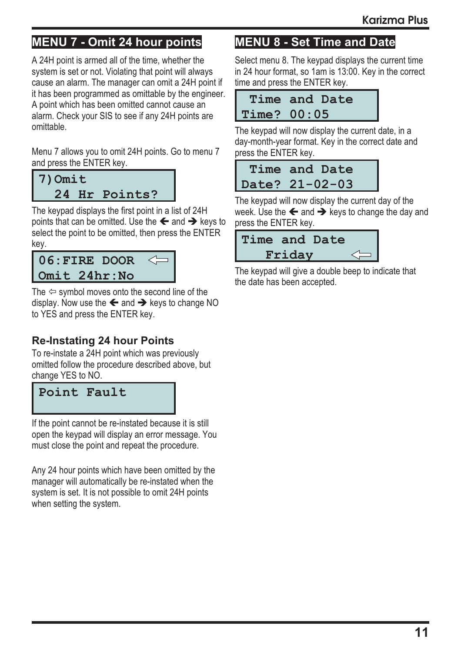#### **MENU 7 - Omit 24 hour points**

A 24H point is armed all of the time, whether the system is set or not. Violating that point will always cause an alarm. The manager can omit a 24H point if it has been programmed as omittable by the engineer. A point which has been omitted cannot cause an alarm. Check your SIS to see if any 24H points are omittable.

Menu 7 allows you to omit 24H points. Go to menu 7 and press the ENTER key.

**7)Omit 24 Hr Points?**

The keypad displays the first point in a list of 24H points that can be omitted. Use the  $\leftarrow$  and  $\rightarrow$  keys to select the point to be omitted, then press the ENTER key.

|              | $06$ :FIRE DOOR |  |
|--------------|-----------------|--|
| Omit 24hr:No |                 |  |

The  $\Leftrightarrow$  symbol moves onto the second line of the display. Now use the  $\leftarrow$  and  $\rightarrow$  keys to change NO to YES and press the ENTER key.

#### **Re-Instating 24 hour Points**

To re-instate a 24H point which was previously omitted follow the procedure described above, but change YES to NO.

**Point Fault**

If the point cannot be re-instated because it is still open the keypad will display an error message. You must close the point and repeat the procedure.

Any 24 hour points which have been omitted by the manager will automatically be re-instated when the system is set. It is not possible to omit 24H points when setting the system.

#### **MENU 8 - Set Time and Date**

Select menu 8. The keypad displays the current time in 24 hour format, so 1am is 13:00. Key in the correct time and press the ENTER key.

| Time and Date      |
|--------------------|
| <b>Time? 00:05</b> |

The keypad will now display the current date, in a day-month-year format. Key in the correct date and press the ENTER key.

| Time and Date  |
|----------------|
| Date? 21-02-03 |

The keypad will now display the current day of the week. Use the  $\leftarrow$  and  $\rightarrow$  keys to change the day and press the ENTER key.

| Time and Date |  |
|---------------|--|
| Friday        |  |

The keypad will give a double beep to indicate that the date has been accepted.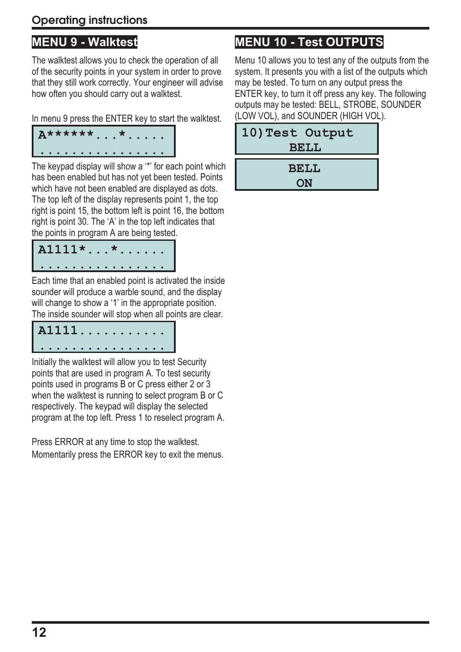#### **Operating instructions**

#### **MENU 9 - Walktest**

The walktest allows you to check the operation of all of the security points in your system in order to prove that they still work correctly. Your engineer will advise how often you should carry out a walktest.

In menu 9 press the ENTER key to start the walktest.

| $ $ $A$ ****** * |  |  |  |  |   |  |  |  |
|------------------|--|--|--|--|---|--|--|--|
|                  |  |  |  |  | . |  |  |  |

The keypad display will show a '\*' for each point which has been enabled but has not yet been tested. Points which have not been enabled are displayed as dots. The top left of the display represents point 1, the top right is point 15, the bottom left is point 16, the bottom right is point 30. The 'A' in the top left indicates that the points in program A are being tested.

| $AI111**$ |  |  |  |  |  |  |  |
|-----------|--|--|--|--|--|--|--|
| .         |  |  |  |  |  |  |  |

Each time that an enabled point is activated the inside sounder will produce a warble sound, and the display will change to show a '1' in the appropriate position. The inside sounder will stop when all points are clear.

| A1111. |  |  |  |  |  |  |  |
|--------|--|--|--|--|--|--|--|
| .      |  |  |  |  |  |  |  |

Initially the walktest will allow you to test Security points that are used in program A. To test security points used in programs B or C press either 2 or 3 when the walktest is running to select program B or C respectively. The keypad will display the selected program at the top left. Press 1 to reselect program A.

Press ERROR at any time to stop the walktest. Momentarily press the ERROR key to exit the menus.

#### **MENU 10 - Test OUTPUTS**

Menu 10 allows you to test any of the outputs from the system. It presents you with a list of the outputs which may be tested. To turn on any output press the ENTER key, to turn it off press any key. The following outputs may be tested: BELL, STROBE, SOUNDER (LOW VOL), and SOUNDER (HIGH VOL).

| 10) Test Output<br><b>BELL</b> |  |
|--------------------------------|--|
| <b>BELL</b><br>ON              |  |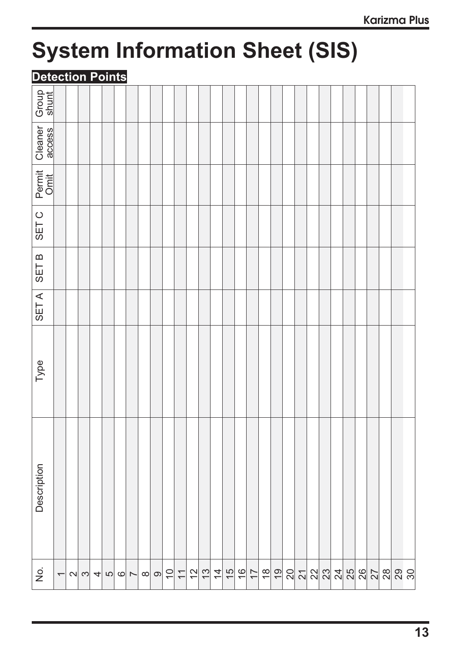## **System Information Sheet (SIS)**

#### **Detection Points**

| Group<br>shunt                        |                          |          |                      |                |         |                |          |           |    |                |    |               |               |               |               |                |               |               |    |                 |    |    |                 |    |                |    |                |                 |  |
|---------------------------------------|--------------------------|----------|----------------------|----------------|---------|----------------|----------|-----------|----|----------------|----|---------------|---------------|---------------|---------------|----------------|---------------|---------------|----|-----------------|----|----|-----------------|----|----------------|----|----------------|-----------------|--|
| Cleaner<br>access                     |                          |          |                      |                |         |                |          |           |    |                |    |               |               |               |               |                |               |               |    |                 |    |    |                 |    |                |    |                |                 |  |
| Permit<br>Omit                        |                          |          |                      |                |         |                |          |           |    |                |    |               |               |               |               |                |               |               |    |                 |    |    |                 |    |                |    |                |                 |  |
| SET <sub>C</sub>                      |                          |          |                      |                |         |                |          |           |    |                |    |               |               |               |               |                |               |               |    |                 |    |    |                 |    |                |    |                |                 |  |
| <b>SETB</b>                           |                          |          |                      |                |         |                |          |           |    |                |    |               |               |               |               |                |               |               |    |                 |    |    |                 |    |                |    |                |                 |  |
| SET A                                 |                          |          |                      |                |         |                |          |           |    |                |    |               |               |               |               |                |               |               |    |                 |    |    |                 |    |                |    |                |                 |  |
| Type                                  |                          |          |                      |                |         |                |          |           |    |                |    |               |               |               |               |                |               |               |    |                 |    |    |                 |    |                |    |                |                 |  |
| Description                           |                          |          |                      |                |         |                |          |           |    |                |    |               |               |               |               |                |               |               |    |                 |    |    |                 |    |                |    |                |                 |  |
| $\frac{\dot{\mathsf{O}}}{\mathsf{Z}}$ | $\overline{\phantom{0}}$ | $\sim$ ന | $\left  \mu \right $ | $\mathfrak{S}$ | $\circ$ | $\overline{ }$ | $\infty$ | တ $\vert$ | 10 | $\overline{1}$ | 12 | $\frac{1}{3}$ | $\frac{4}{3}$ | $\frac{5}{1}$ | $\frac{6}{1}$ | $\overline{1}$ | $\frac{8}{1}$ | $\frac{1}{2}$ | 20 | $\overline{21}$ | 22 | 23 | $\overline{24}$ | 25 | $\frac{26}{5}$ | 27 | $\frac{8}{28}$ | $\frac{29}{30}$ |  |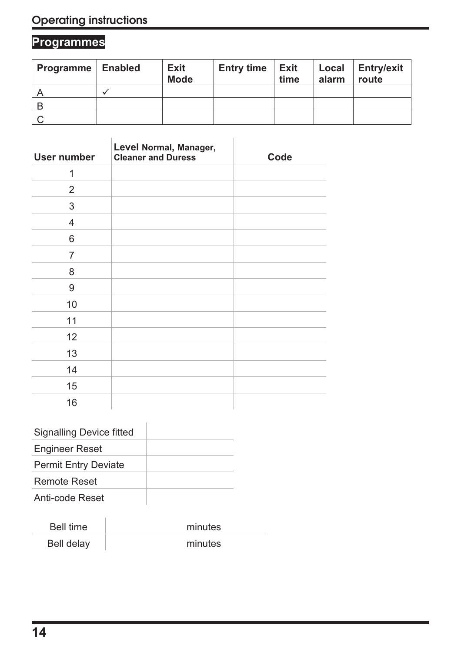### **Programmes**

| <b>Programme   Enabled</b> | <b>Exit</b><br><b>Mode</b> | <b>Entry time</b> | <b>Exit</b><br>time | Local<br>alarm | <b>Entry/exit</b><br>route |
|----------------------------|----------------------------|-------------------|---------------------|----------------|----------------------------|
|                            |                            |                   |                     |                |                            |
| B                          |                            |                   |                     |                |                            |
|                            |                            |                   |                     |                |                            |

| <b>User number</b> | Level Normal, Manager,<br><b>Cleaner and Duress</b> | Code |
|--------------------|-----------------------------------------------------|------|
| 1                  |                                                     |      |
| 2                  |                                                     |      |
| 3                  |                                                     |      |
| $\overline{4}$     |                                                     |      |
| 6                  |                                                     |      |
| 7                  |                                                     |      |
| 8                  |                                                     |      |
| 9                  |                                                     |      |
| 10                 |                                                     |      |
| 11                 |                                                     |      |
| 12                 |                                                     |      |
| 13                 |                                                     |      |
| 14                 |                                                     |      |
| 15                 |                                                     |      |
| 16                 |                                                     |      |

| <b>Signalling Device fitted</b> |  |
|---------------------------------|--|
| <b>Engineer Reset</b>           |  |
| <b>Permit Entry Deviate</b>     |  |
| Remote Reset                    |  |
| Anti-code Reset                 |  |

| Bell time  | minutes |
|------------|---------|
| Bell delay | minutes |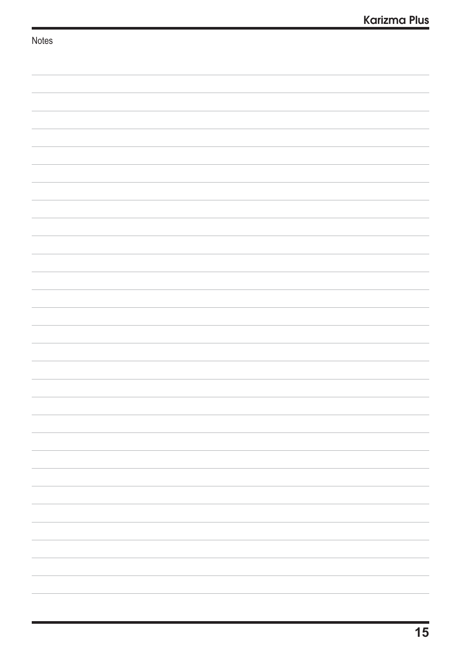| Notes |  |
|-------|--|
|       |  |
|       |  |
|       |  |
|       |  |
|       |  |
|       |  |
|       |  |
|       |  |
|       |  |
|       |  |
|       |  |
|       |  |
|       |  |
|       |  |
|       |  |
|       |  |
|       |  |
|       |  |
|       |  |
|       |  |
|       |  |
|       |  |
|       |  |
|       |  |
|       |  |
|       |  |
|       |  |
|       |  |
|       |  |
|       |  |
|       |  |
|       |  |
|       |  |
|       |  |
|       |  |
|       |  |
|       |  |
|       |  |
|       |  |
|       |  |
|       |  |
|       |  |
|       |  |
|       |  |
|       |  |
|       |  |
|       |  |
|       |  |
|       |  |